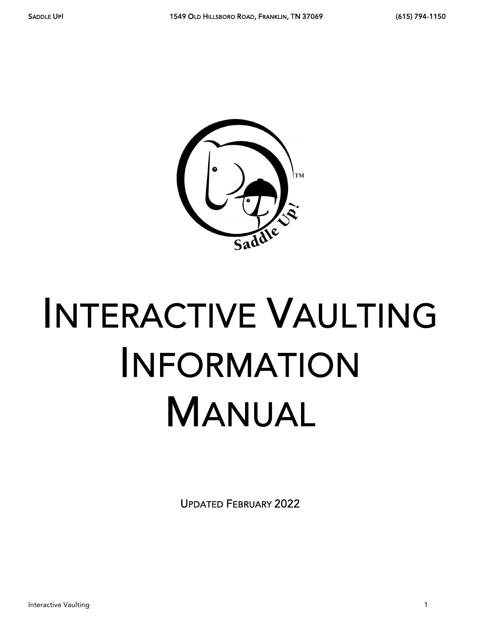

# INTERACTIVE VAULTING INFORMATION MANUAL

UPDATED FEBRUARY 2022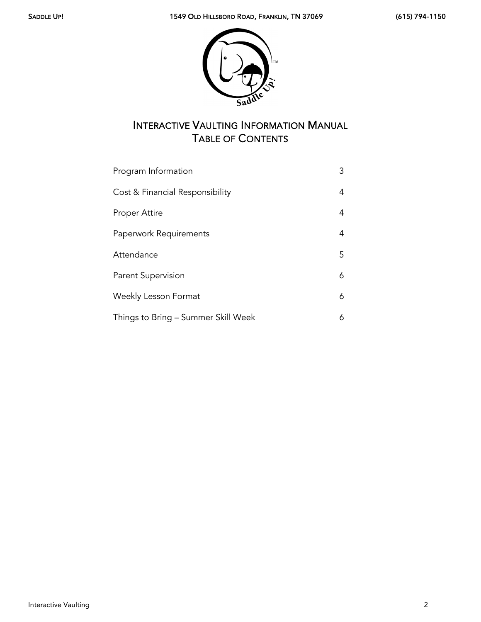

# INTERACTIVE VAULTING INFORMATION MANUAL TABLE OF CONTENTS

| Program Information                 | 3  |
|-------------------------------------|----|
| Cost & Financial Responsibility     | 4  |
| <b>Proper Attire</b>                | 4  |
| Paperwork Requirements              | 4  |
| Attendance                          | 5. |
| <b>Parent Supervision</b>           | 6  |
| Weekly Lesson Format                | 6  |
| Things to Bring – Summer Skill Week | 6  |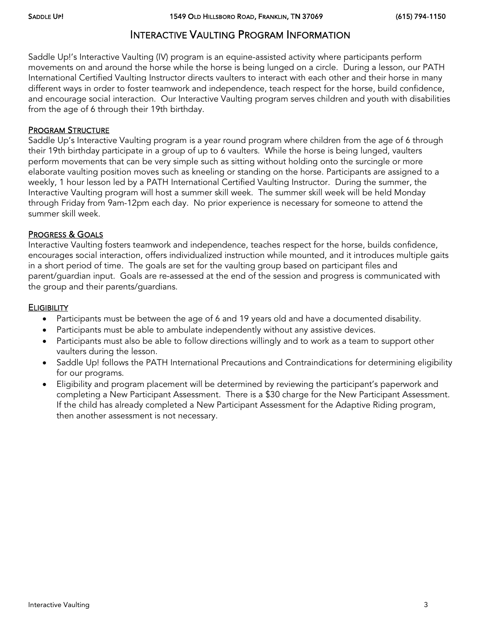### INTERACTIVE VAULTING PROGRAM INFORMATION

Saddle Up!'s Interactive Vaulting (IV) program is an equine-assisted activity where participants perform movements on and around the horse while the horse is being lunged on a circle. During a lesson, our PATH International Certified Vaulting Instructor directs vaulters to interact with each other and their horse in many different ways in order to foster teamwork and independence, teach respect for the horse, build confidence, and encourage social interaction. Our Interactive Vaulting program serves children and youth with disabilities from the age of 6 through their 19th birthday.

#### PROGRAM STRUCTURE

Saddle Up's Interactive Vaulting program is a year round program where children from the age of 6 through their 19th birthday participate in a group of up to 6 vaulters. While the horse is being lunged, vaulters perform movements that can be very simple such as sitting without holding onto the surcingle or more elaborate vaulting position moves such as kneeling or standing on the horse. Participants are assigned to a weekly, 1 hour lesson led by a PATH International Certified Vaulting Instructor. During the summer, the Interactive Vaulting program will host a summer skill week. The summer skill week will be held Monday through Friday from 9am-12pm each day. No prior experience is necessary for someone to attend the summer skill week.

#### PROGRESS & GOALS

Interactive Vaulting fosters teamwork and independence, teaches respect for the horse, builds confidence, encourages social interaction, offers individualized instruction while mounted, and it introduces multiple gaits in a short period of time. The goals are set for the vaulting group based on participant files and parent/guardian input. Goals are re-assessed at the end of the session and progress is communicated with the group and their parents/guardians.

#### **ELIGIBILITY**

- Participants must be between the age of 6 and 19 years old and have a documented disability.
- Participants must be able to ambulate independently without any assistive devices.
- Participants must also be able to follow directions willingly and to work as a team to support other vaulters during the lesson.
- Saddle Up! follows the PATH International Precautions and Contraindications for determining eligibility for our programs.
- Eligibility and program placement will be determined by reviewing the participant's paperwork and completing a New Participant Assessment. There is a \$30 charge for the New Participant Assessment. If the child has already completed a New Participant Assessment for the Adaptive Riding program, then another assessment is not necessary.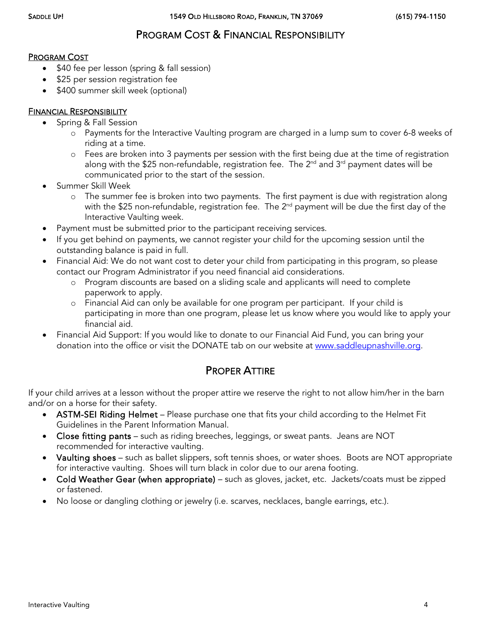## PROGRAM COST & FINANCIAL RESPONSIBILITY

#### PROGRAM COST

- \$40 fee per lesson (spring & fall session)
- \$25 per session registration fee
- \$400 summer skill week (optional)

#### FINANCIAL RESPONSIBILITY

- Spring & Fall Session
	- o Payments for the Interactive Vaulting program are charged in a lump sum to cover 6-8 weeks of riding at a time.
	- o Fees are broken into 3 payments per session with the first being due at the time of registration along with the \$25 non-refundable, registration fee. The  $2^{nd}$  and  $3^{rd}$  payment dates will be communicated prior to the start of the session.
- Summer Skill Week
	- o The summer fee is broken into two payments. The first payment is due with registration along with the \$25 non-refundable, registration fee. The 2<sup>nd</sup> payment will be due the first day of the Interactive Vaulting week.
- Payment must be submitted prior to the participant receiving services.
- If you get behind on payments, we cannot register your child for the upcoming session until the outstanding balance is paid in full.
- Financial Aid: We do not want cost to deter your child from participating in this program, so please contact our Program Administrator if you need financial aid considerations.
	- o Program discounts are based on a sliding scale and applicants will need to complete paperwork to apply.
	- o Financial Aid can only be available for one program per participant. If your child is participating in more than one program, please let us know where you would like to apply your financial aid.
- Financial Aid Support: If you would like to donate to our Financial Aid Fund, you can bring your donation into the office or visit the DONATE tab on our website at [www.saddleupnashville.org.](http://www.saddleupnashville.org/)

## PROPER ATTIRE

If your child arrives at a lesson without the proper attire we reserve the right to not allow him/her in the barn and/or on a horse for their safety.

- ASTM-SEI Riding Helmet Please purchase one that fits your child according to the Helmet Fit Guidelines in the Parent Information Manual.
- Close fitting pants such as riding breeches, leggings, or sweat pants. Jeans are NOT recommended for interactive vaulting.
- Vaulting shoes such as ballet slippers, soft tennis shoes, or water shoes. Boots are NOT appropriate for interactive vaulting. Shoes will turn black in color due to our arena footing.
- Cold Weather Gear (when appropriate) such as gloves, jacket, etc. Jackets/coats must be zipped or fastened.
- No loose or dangling clothing or jewelry (i.e. scarves, necklaces, bangle earrings, etc.).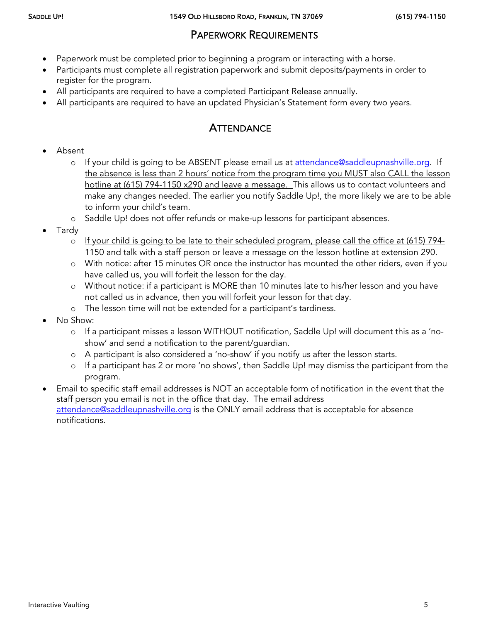## PAPERWORK REQUIREMENTS

- Paperwork must be completed prior to beginning a program or interacting with a horse.
- Participants must complete all registration paperwork and submit deposits/payments in order to register for the program.
- All participants are required to have a completed Participant Release annually.
- All participants are required to have an updated Physician's Statement form every two years.

# **ATTENDANCE**

- Absent
	- o If your child is going to be ABSENT please email us at [attendance@saddleupnashville.org.](mailto:attendance@saddleupnashville.org) If the absence is less than 2 hours' notice from the program time you MUST also CALL the lesson hotline at (615) 794-1150 x290 and leave a message. This allows us to contact volunteers and make any changes needed. The earlier you notify Saddle Up!, the more likely we are to be able to inform your child's team.
	- o Saddle Up! does not offer refunds or make-up lessons for participant absences.
- Tardy
	- $\circ$  If your child is going to be late to their scheduled program, please call the office at (615) 794-1150 and talk with a staff person or leave a message on the lesson hotline at extension 290.
	- o With notice: after 15 minutes OR once the instructor has mounted the other riders, even if you have called us, you will forfeit the lesson for the day.
	- o Without notice: if a participant is MORE than 10 minutes late to his/her lesson and you have not called us in advance, then you will forfeit your lesson for that day.
	- o The lesson time will not be extended for a participant's tardiness.
- No Show:
	- o If a participant misses a lesson WITHOUT notification, Saddle Up! will document this as a 'noshow' and send a notification to the parent/guardian.
	- o A participant is also considered a 'no-show' if you notify us after the lesson starts.
	- o If a participant has 2 or more 'no shows', then Saddle Up! may dismiss the participant from the program.
- Email to specific staff email addresses is NOT an acceptable form of notification in the event that the staff person you email is not in the office that day. The email address [attendance@saddleupnashville.org](mailto:attendance@saddleupnashville.org) is the ONLY email address that is acceptable for absence notifications.